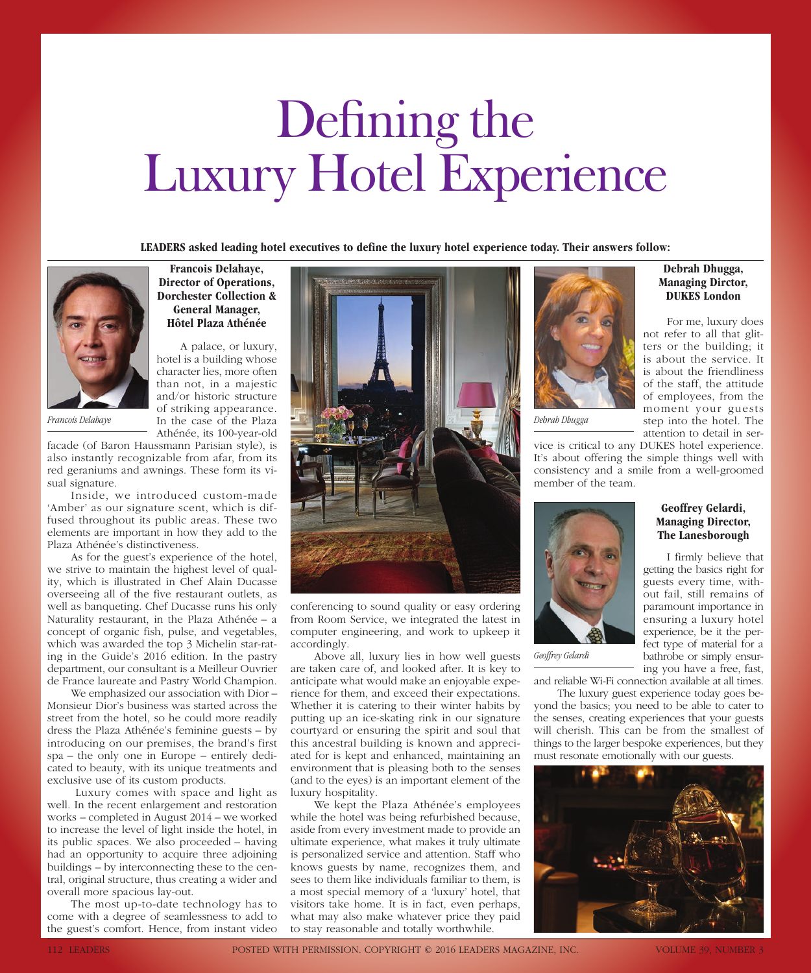# Defining the Luxury Hotel Experience

**LEADERS asked leading hotel executives to define the luxury hotel experience today. Their answers follow:**



*Francois Delahaye*

facade (of Baron Haussmann Parisian style), is also instantly recognizable from afar, from its red geraniums and awnings. These form its visual signature.

**Francois Delahaye, Director of Operations, Dorchester Collection & General Manager, Hôtel Plaza Athénée**

A palace, or luxury, hotel is a building whose character lies, more often than not, in a majestic and/or historic structure of striking appearance. In the case of the Plaza Athénée, its 100-year-old

Inside, we introduced custom-made 'Amber' as our signature scent, which is diffused throughout its public areas. These two elements are important in how they add to the Plaza Athénée's distinctiveness.

As for the guest's experience of the hotel, we strive to maintain the highest level of quality, which is illustrated in Chef Alain Ducasse overseeing all of the five restaurant outlets, as well as banqueting. Chef Ducasse runs his only Naturality restaurant, in the Plaza Athénée – a concept of organic fish, pulse, and vegetables, which was awarded the top 3 Michelin star-rating in the Guide's 2016 edition. In the pastry department, our consultant is a Meilleur Ouvrier de France laureate and Pastry World Champion.

We emphasized our association with Dior – Monsieur Dior's business was started across the street from the hotel, so he could more readily dress the Plaza Athénée's feminine guests – by introducing on our premises, the brand's first spa – the only one in Europe – entirely dedicated to beauty, with its unique treatments and exclusive use of its custom products.

 Luxury comes with space and light as well. In the recent enlargement and restoration works – completed in August 2014 – we worked to increase the level of light inside the hotel, in its public spaces. We also proceeded – having had an opportunity to acquire three adjoining buildings – by interconnecting these to the central, original structure, thus creating a wider and overall more spacious lay-out.

The most up-to-date technology has to come with a degree of seamlessness to add to the guest's comfort. Hence, from instant video



conferencing to sound quality or easy ordering from Room Service, we integrated the latest in computer engineering, and work to upkeep it accordingly.

Above all, luxury lies in how well guests are taken care of, and looked after. It is key to anticipate what would make an enjoyable experience for them, and exceed their expectations. Whether it is catering to their winter habits by putting up an ice-skating rink in our signature courtyard or ensuring the spirit and soul that this ancestral building is known and appreciated for is kept and enhanced, maintaining an environment that is pleasing both to the senses (and to the eyes) is an important element of the luxury hospitality.

We kept the Plaza Athénée's employees while the hotel was being refurbished because, aside from every investment made to provide an ultimate experience, what makes it truly ultimate is personalized service and attention. Staff who knows guests by name, recognizes them, and sees to them like individuals familiar to them, is a most special memory of a 'luxury' hotel, that visitors take home. It is in fact, even perhaps, what may also make whatever price they paid to stay reasonable and totally worthwhile.



*Debrah Dhugga*

vice is critical to any DUKES hotel experience. It's about offering the simple things well with consistency and a smile from a well-groomed member of the team.



*Geoffrey Gelardi*

**Geoffrey Gelardi, Managing Director, The Lanesborough**

**Debrah Dhugga, Managing Dirctor, DUKES London**

For me, luxury does not refer to all that glit-

is about the service. It is about the friendliness of the staff, the attitude of employees, from the moment your guests step into the hotel. The attention to detail in ser-

I firmly believe that getting the basics right for guests every time, without fail, still remains of paramount importance in ensuring a luxury hotel experience, be it the perfect type of material for a bathrobe or simply ensuring you have a free, fast,

and reliable Wi-Fi connection available at all times. The luxury guest experience today goes be-

yond the basics; you need to be able to cater to the senses, creating experiences that your guests will cherish. This can be from the smallest of things to the larger bespoke experiences, but they must resonate emotionally with our guests.

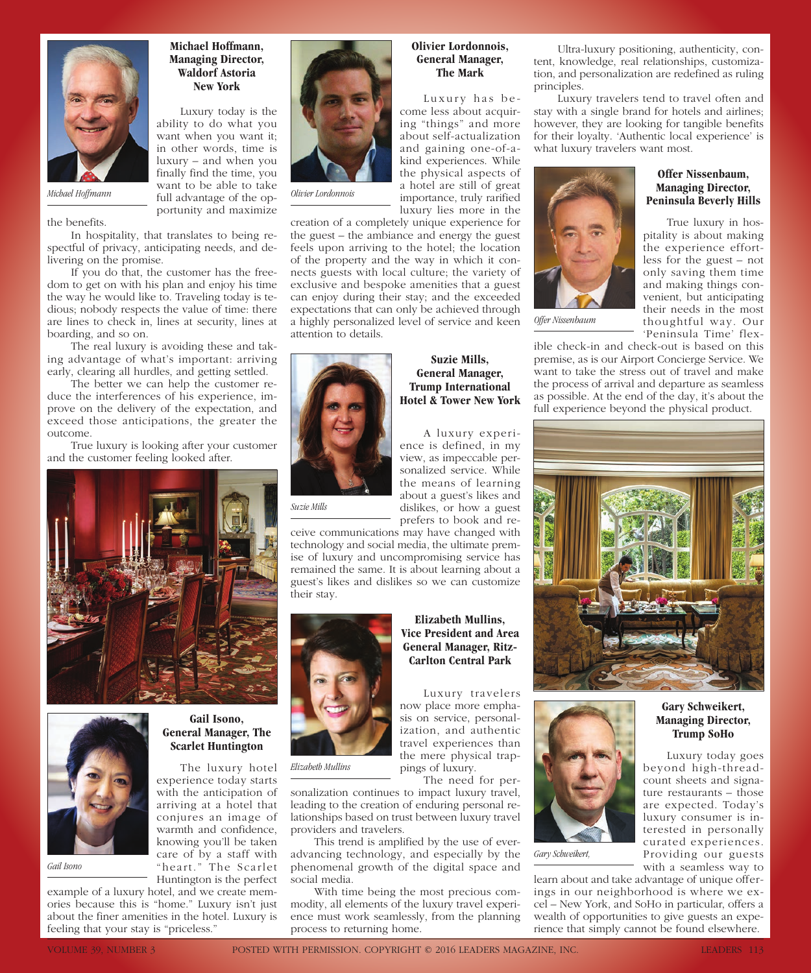

### **Michael Hoffmann, Managing Director, Waldorf Astoria New York**

Luxury today is the ability to do what you want when you want it; in other words, time is luxury – and when you finally find the time, you want to be able to take full advantage of the opportunity and maximize

the benefits.

In hospitality, that translates to being respectful of privacy, anticipating needs, and delivering on the promise.

If you do that, the customer has the freedom to get on with his plan and enjoy his time the way he would like to. Traveling today is tedious; nobody respects the value of time: there are lines to check in, lines at security, lines at boarding, and so on.

The real luxury is avoiding these and taking advantage of what's important: arriving early, clearing all hurdles, and getting settled.

The better we can help the customer reduce the interferences of his experience, improve on the delivery of the expectation, and exceed those anticipations, the greater the outcome.

True luxury is looking after your customer and the customer feeling looked after.





*Gail Isono*

### **Gail Isono, General Manager, The Scarlet Huntington**

The luxury hotel experience today starts with the anticipation of arriving at a hotel that conjures an image of warmth and confidence, knowing you'll be taken care of by a staff with "heart." The Scarlet Huntington is the perfect

example of a luxury hotel, and we create memories because this is "home." Luxury isn't just about the finer amenities in the hotel. Luxury is feeling that your stay is "priceless."



*Olivier Lordonnois*

### **Olivier Lordonnois, General Manager, The Mark**

Luxury has become less about acquiring "things" and more about self-actualization and gaining one-of-akind experiences. While the physical aspects of a hotel are still of great importance, truly rarified luxury lies more in the

creation of a completely unique experience for the guest – the ambiance and energy the guest feels upon arriving to the hotel; the location of the property and the way in which it connects guests with local culture; the variety of exclusive and bespoke amenities that a guest can enjoy during their stay; and the exceeded expectations that can only be achieved through a highly personalized level of service and keen attention to details.



# **Suzie Mills, General Manager, Trump International Hotel & Tower New York**

A luxury experience is defined, in my view, as impeccable personalized service. While the means of learning about a guest's likes and dislikes, or how a guest prefers to book and re-

**Elizabeth Mullins, Vice President and Area General Manager, Ritz-Carlton Central Park**

Luxury travelers

*Suzie Mills*

ceive communications may have changed with technology and social media, the ultimate premise of luxury and uncompromising service has remained the same. It is about learning about a guest's likes and dislikes so we can customize their stay.



*Elizabeth Mullins*

The need for personalization continues to impact luxury travel, leading to the creation of enduring personal relationships based on trust between luxury travel providers and travelers.

pings of luxury.

This trend is amplified by the use of everadvancing technology, and especially by the phenomenal growth of the digital space and social media.

With time being the most precious commodity, all elements of the luxury travel experience must work seamlessly, from the planning process to returning home.

Ultra-luxury positioning, authenticity, content, knowledge, real relationships, customization, and personalization are redefined as ruling principles.

Luxury travelers tend to travel often and stay with a single brand for hotels and airlines; however, they are looking for tangible benefits for their loyalty. 'Authentic local experience' is what luxury travelers want most.



*Offer Nissenbaum*

#### **Offer Nissenbaum, Managing Director, Peninsula Beverly Hills**

True luxury in hospitality is about making the experience effortless for the guest – not only saving them time and making things convenient, but anticipating their needs in the most thoughtful way. Our 'Peninsula Time' flex-

ible check-in and check-out is based on this premise, as is our Airport Concierge Service. We want to take the stress out of travel and make the process of arrival and departure as seamless as possible. At the end of the day, it's about the full experience beyond the physical product.





*Gary Schweikert,*

## **Gary Schweikert, Managing Director, Trump SoHo**

Luxury today goes beyond high-threadcount sheets and signature restaurants – those are expected. Today's luxury consumer is interested in personally curated experiences. Providing our guests with a seamless way to

learn about and take advantage of unique offerings in our neighborhood is where we excel – New York, and SoHo in particular, offers a wealth of opportunities to give guests an experience that simply cannot be found elsewhere.